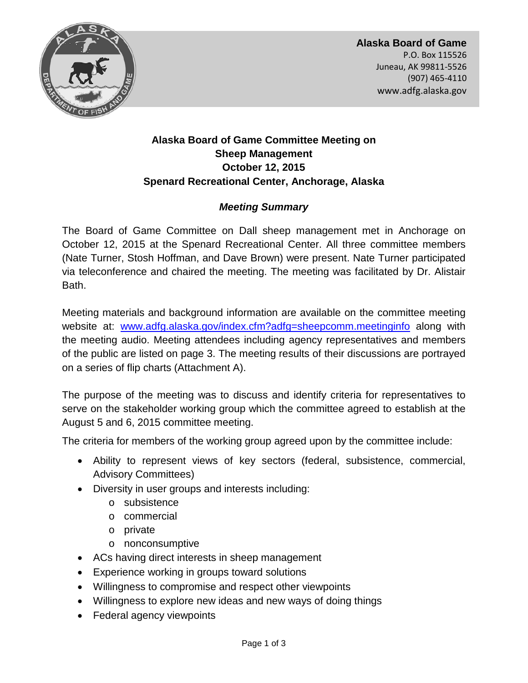

**Alaska Board of Game**  P.O. Box 115526 Juneau, AK 99811-5526 (907) 465-4110 www.adfg.alaska.gov

# **Alaska Board of Game Committee Meeting on Sheep Management October 12, 2015 Spenard Recreational Center, Anchorage, Alaska**

# *Meeting Summary*

The Board of Game Committee on Dall sheep management met in Anchorage on October 12, 2015 at the Spenard Recreational Center. All three committee members (Nate Turner, Stosh Hoffman, and Dave Brown) were present. Nate Turner participated via teleconference and chaired the meeting. The meeting was facilitated by Dr. Alistair Bath.

Meeting materials and background information are available on the committee meeting website at: [www.adfg.alaska.gov/index.cfm?adfg=sheepcomm.meetinginfo](http://www.adfg.alaska.gov/index.cfm?adfg=sheepcomm.meetinginfo) along with the meeting audio. Meeting attendees including agency representatives and members of the public are listed on page 3. The meeting results of their discussions are portrayed on a series of flip charts (Attachment A).

The purpose of the meeting was to discuss and identify criteria for representatives to serve on the stakeholder working group which the committee agreed to establish at the August 5 and 6, 2015 committee meeting.

The criteria for members of the working group agreed upon by the committee include:

- Ability to represent views of key sectors (federal, subsistence, commercial, Advisory Committees)
- Diversity in user groups and interests including:
	- o subsistence
	- o commercial
	- o private
	- o nonconsumptive
- ACs having direct interests in sheep management
- Experience working in groups toward solutions
- Willingness to compromise and respect other viewpoints
- Willingness to explore new ideas and new ways of doing things
- Federal agency viewpoints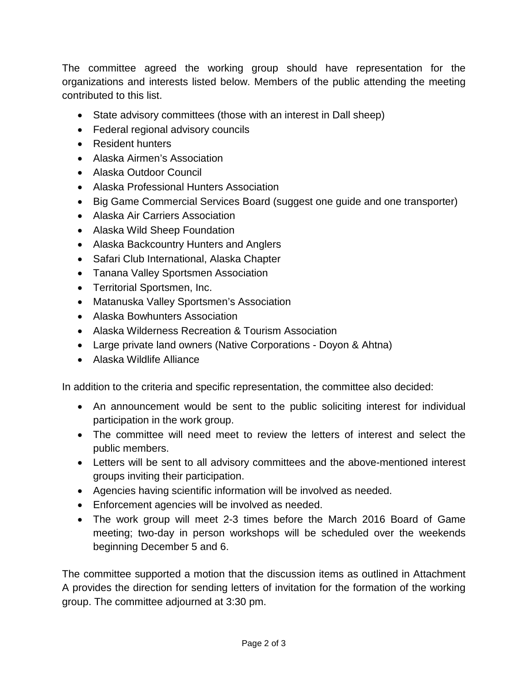The committee agreed the working group should have representation for the organizations and interests listed below. Members of the public attending the meeting contributed to this list.

- State advisory committees (those with an interest in Dall sheep)
- Federal regional advisory councils
- Resident hunters
- Alaska Airmen's Association
- Alaska Outdoor Council
- Alaska Professional Hunters Association
- Big Game Commercial Services Board (suggest one guide and one transporter)
- Alaska Air Carriers Association
- Alaska Wild Sheep Foundation
- Alaska Backcountry Hunters and Anglers
- Safari Club International, Alaska Chapter
- Tanana Valley Sportsmen Association
- Territorial Sportsmen, Inc.
- Matanuska Valley Sportsmen's Association
- Alaska Bowhunters Association
- Alaska Wilderness Recreation & Tourism Association
- Large private land owners (Native Corporations Doyon & Ahtna)
- Alaska Wildlife Alliance

In addition to the criteria and specific representation, the committee also decided:

- An announcement would be sent to the public soliciting interest for individual participation in the work group.
- The committee will need meet to review the letters of interest and select the public members.
- Letters will be sent to all advisory committees and the above-mentioned interest groups inviting their participation.
- Agencies having scientific information will be involved as needed.
- Enforcement agencies will be involved as needed.
- The work group will meet 2-3 times before the March 2016 Board of Game meeting; two-day in person workshops will be scheduled over the weekends beginning December 5 and 6.

The committee supported a motion that the discussion items as outlined in Attachment A provides the direction for sending letters of invitation for the formation of the working group. The committee adjourned at 3:30 pm.